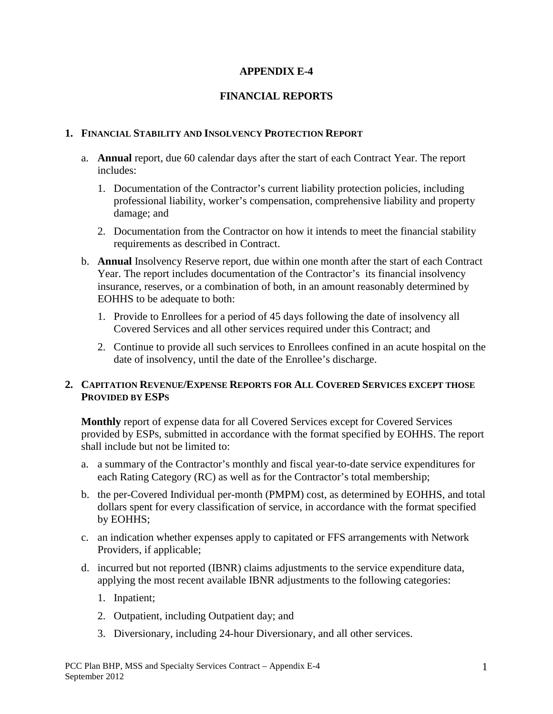# **APPENDIX E-4**

# **FINANCIAL REPORTS**

### **1. FINANCIAL STABILITY AND INSOLVENCY PROTECTION REPORT**

- a. **Annual** report, due 60 calendar days after the start of each Contract Year. The report includes:
	- 1. Documentation of the Contractor's current liability protection policies, including professional liability, worker's compensation, comprehensive liability and property damage; and
	- 2. Documentation from the Contractor on how it intends to meet the financial stability requirements as described in Contract.
- b. **Annual** Insolvency Reserve report, due within one month after the start of each Contract Year. The report includes documentation of the Contractor's its financial insolvency insurance, reserves, or a combination of both, in an amount reasonably determined by EOHHS to be adequate to both:
	- 1. Provide to Enrollees for a period of 45 days following the date of insolvency all Covered Services and all other services required under this Contract; and
	- 2. Continue to provide all such services to Enrollees confined in an acute hospital on the date of insolvency, until the date of the Enrollee's discharge.

### **2. CAPITATION REVENUE/EXPENSE REPORTS FOR ALL COVERED SERVICES EXCEPT THOSE PROVIDED BY ESPS**

**Monthly** report of expense data for all Covered Services except for Covered Services provided by ESPs, submitted in accordance with the format specified by EOHHS. The report shall include but not be limited to:

- a. a summary of the Contractor's monthly and fiscal year-to-date service expenditures for each Rating Category (RC) as well as for the Contractor's total membership;
- b. the per-Covered Individual per-month (PMPM) cost, as determined by EOHHS, and total dollars spent for every classification of service, in accordance with the format specified by EOHHS;
- c. an indication whether expenses apply to capitated or FFS arrangements with Network Providers, if applicable;
- d. incurred but not reported (IBNR) claims adjustments to the service expenditure data, applying the most recent available IBNR adjustments to the following categories:
	- 1. Inpatient;
	- 2. Outpatient, including Outpatient day; and
	- 3. Diversionary, including 24-hour Diversionary, and all other services.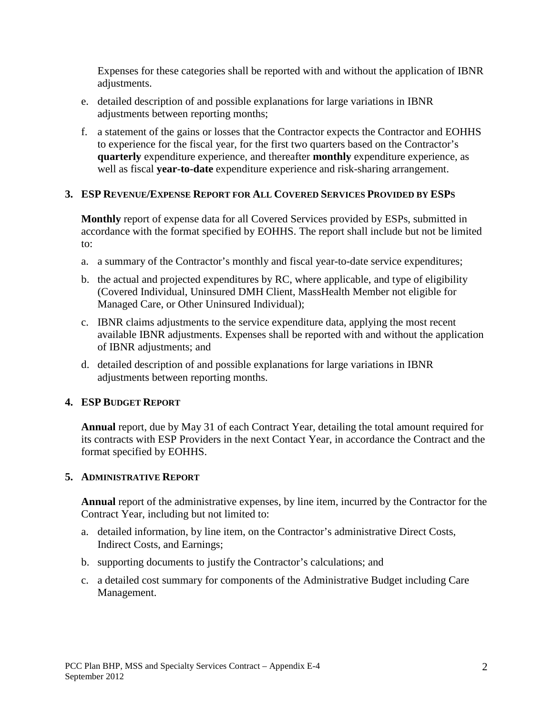Expenses for these categories shall be reported with and without the application of IBNR adiustments.

- e. detailed description of and possible explanations for large variations in IBNR adjustments between reporting months;
- f. a statement of the gains or losses that the Contractor expects the Contractor and EOHHS to experience for the fiscal year, for the first two quarters based on the Contractor's **quarterly** expenditure experience, and thereafter **monthly** expenditure experience, as well as fiscal **year-to-date** expenditure experience and risk-sharing arrangement.

### **3. ESP REVENUE/EXPENSE REPORT FOR ALL COVERED SERVICES PROVIDED BY ESPS**

**Monthly** report of expense data for all Covered Services provided by ESPs, submitted in accordance with the format specified by EOHHS. The report shall include but not be limited to:

- a. a summary of the Contractor's monthly and fiscal year-to-date service expenditures;
- b. the actual and projected expenditures by RC, where applicable, and type of eligibility (Covered Individual, Uninsured DMH Client, MassHealth Member not eligible for Managed Care, or Other Uninsured Individual);
- c. IBNR claims adjustments to the service expenditure data, applying the most recent available IBNR adjustments. Expenses shall be reported with and without the application of IBNR adjustments; and
- d. detailed description of and possible explanations for large variations in IBNR adjustments between reporting months.

### **4. ESP BUDGET REPORT**

**Annual** report, due by May 31 of each Contract Year, detailing the total amount required for its contracts with ESP Providers in the next Contact Year, in accordance the Contract and the format specified by EOHHS.

### **5. ADMINISTRATIVE REPORT**

**Annual** report of the administrative expenses, by line item, incurred by the Contractor for the Contract Year, including but not limited to:

- a. detailed information, by line item, on the Contractor's administrative Direct Costs, Indirect Costs, and Earnings;
- b. supporting documents to justify the Contractor's calculations; and
- c. a detailed cost summary for components of the Administrative Budget including Care Management.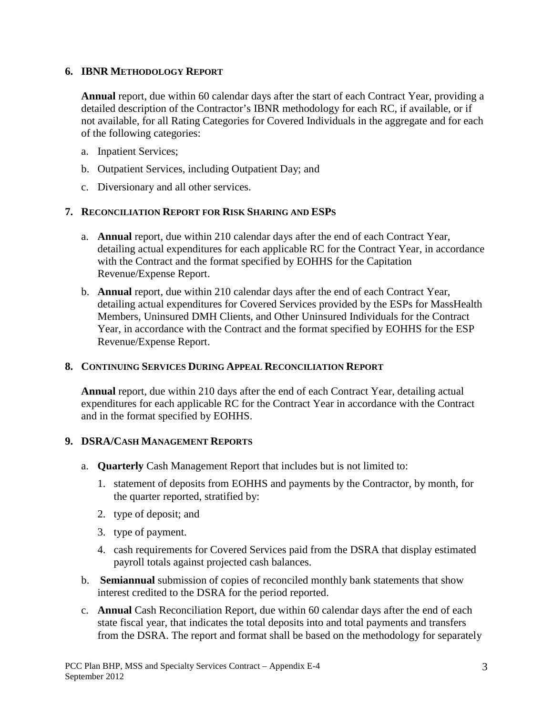### **6. IBNR METHODOLOGY REPORT**

**Annual** report, due within 60 calendar days after the start of each Contract Year, providing a detailed description of the Contractor's IBNR methodology for each RC, if available, or if not available, for all Rating Categories for Covered Individuals in the aggregate and for each of the following categories:

- a. Inpatient Services;
- b. Outpatient Services, including Outpatient Day; and
- c. Diversionary and all other services.

### **7. RECONCILIATION REPORT FOR RISK SHARING AND ESPS**

- a. **Annual** report, due within 210 calendar days after the end of each Contract Year, detailing actual expenditures for each applicable RC for the Contract Year, in accordance with the Contract and the format specified by EOHHS for the Capitation Revenue/Expense Report.
- b. **Annual** report, due within 210 calendar days after the end of each Contract Year, detailing actual expenditures for Covered Services provided by the ESPs for MassHealth Members, Uninsured DMH Clients, and Other Uninsured Individuals for the Contract Year, in accordance with the Contract and the format specified by EOHHS for the ESP Revenue/Expense Report.

### **8. CONTINUING SERVICES DURING APPEAL RECONCILIATION REPORT**

**Annual** report, due within 210 days after the end of each Contract Year, detailing actual expenditures for each applicable RC for the Contract Year in accordance with the Contract and in the format specified by EOHHS.

# **9. DSRA/CASH MANAGEMENT REPORTS**

- a. **Quarterly** Cash Management Report that includes but is not limited to:
	- 1. statement of deposits from EOHHS and payments by the Contractor, by month, for the quarter reported, stratified by:
	- 2. type of deposit; and
	- 3. type of payment.
	- 4. cash requirements for Covered Services paid from the DSRA that display estimated payroll totals against projected cash balances.
- b. **Semiannual** submission of copies of reconciled monthly bank statements that show interest credited to the DSRA for the period reported.
- c. **Annual** Cash Reconciliation Report, due within 60 calendar days after the end of each state fiscal year, that indicates the total deposits into and total payments and transfers from the DSRA. The report and format shall be based on the methodology for separately